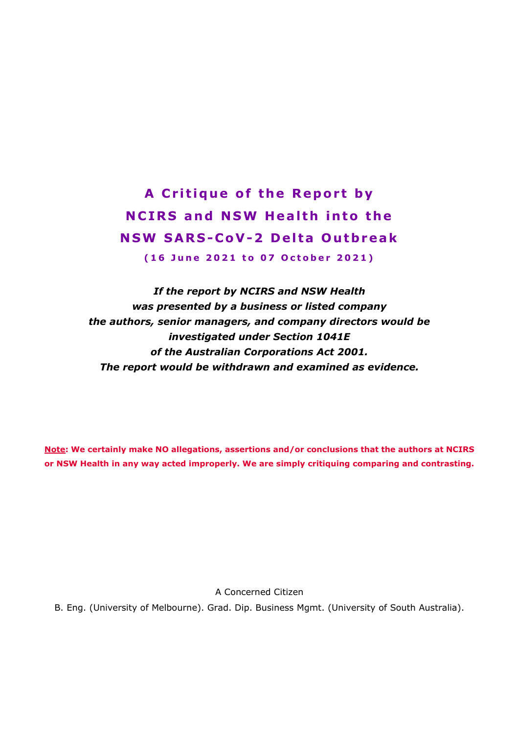**A Critique of the Report by NCIRS and NSW Health into the NSW SARS - CoV-2 Delta Outbreak (16 June 2021 to 07 October 2021)**

*If the report by NCIRS and NSW Health was presented by a business or listed company the authors, senior managers, and company directors would be investigated under Section 1041E of the Australian Corporations Act 2001. The report would be withdrawn and examined as evidence.*

**Note: We certainly make NO allegations, assertions and/or conclusions that the authors at NCIRS or NSW Health in any way acted improperly. We are simply critiquing comparing and contrasting.**

A Concerned Citizen

B. Eng. (University of Melbourne). Grad. Dip. Business Mgmt. (University of South Australia).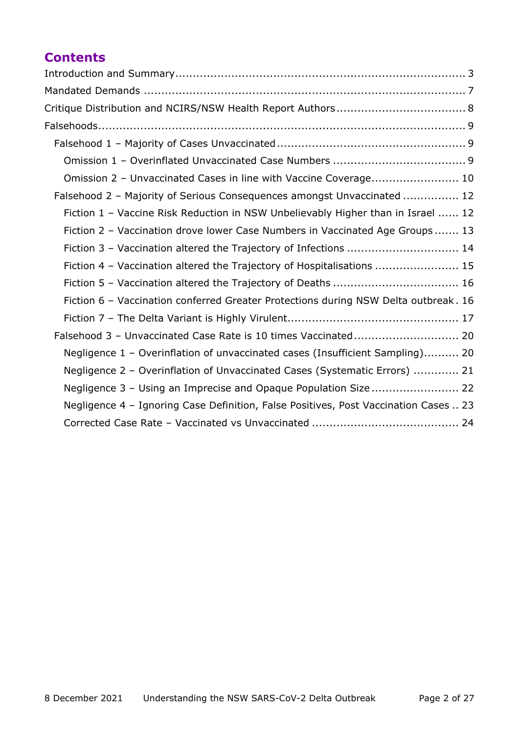# **Contents**

| Omission 2 - Unvaccinated Cases in line with Vaccine Coverage 10                     |
|--------------------------------------------------------------------------------------|
| Falsehood 2 - Majority of Serious Consequences amongst Unvaccinated  12              |
| Fiction 1 - Vaccine Risk Reduction in NSW Unbelievably Higher than in Israel  12     |
| Fiction 2 - Vaccination drove lower Case Numbers in Vaccinated Age Groups 13         |
| Fiction 3 - Vaccination altered the Trajectory of Infections  14                     |
| Fiction 4 - Vaccination altered the Trajectory of Hospitalisations  15               |
| Fiction 5 - Vaccination altered the Trajectory of Deaths  16                         |
| Fiction 6 - Vaccination conferred Greater Protections during NSW Delta outbreak. 16  |
|                                                                                      |
|                                                                                      |
| Negligence 1 - Overinflation of unvaccinated cases (Insufficient Sampling) 20        |
| Negligence 2 - Overinflation of Unvaccinated Cases (Systematic Errors)  21           |
|                                                                                      |
| Negligence 4 - Ignoring Case Definition, False Positives, Post Vaccination Cases  23 |
|                                                                                      |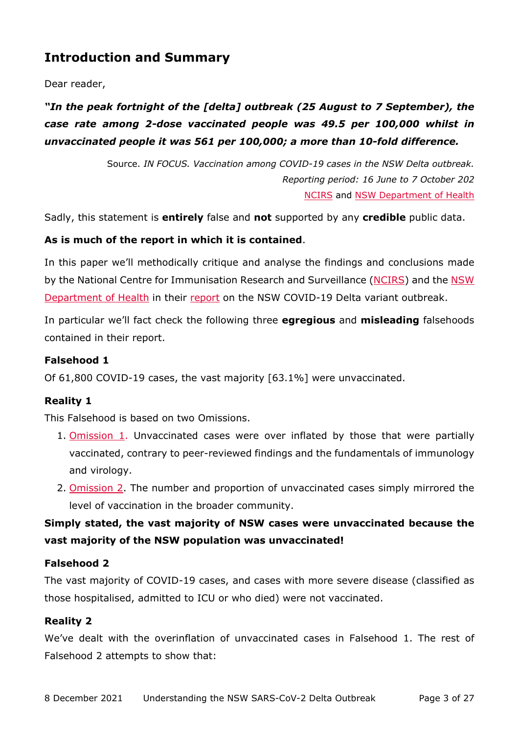## <span id="page-2-0"></span>**Introduction and Summary**

### Dear reader,

## *"In the peak fortnight of the [delta] outbreak (25 August to 7 September), the case rate among 2-dose vaccinated people was 49.5 per 100,000 whilst in unvaccinated people it was 561 per 100,000; a more than 10-fold difference.*

Source. *IN FOCUS. Vaccination among COVID-19 cases in the NSW Delta outbreak. Reporting period: 16 June to 7 October 202* [NCIRS](https://www.ncirs.org.au/covid-19-vaccination-highly-effective-during-delta-outbreak-nsw) and [NSW Department](https://www.health.nsw.gov.au/Infectious/covid-19/Pages/weekly-reports.aspx) of Health

Sadly, this statement is **entirely** false and **not** supported by any **credible** public data.

### **As is much of the report in which it is contained**.

In this paper we'll methodically critique and analyse the findings and conclusions made by the National Centre for Immunisation Research and Surveillance [\(NCIRS\)](https://www.ncirs.org.au/) and the NSW [Department of Health](https://www.health.nsw.gov.au/) in their [report](https://www.health.nsw.gov.au/Infectious/covid-19/Pages/weekly-reports.aspx) on the NSW COVID-19 Delta variant outbreak.

In particular we'll fact check the following three **egregious** and **misleading** falsehoods contained in their report.

### **Falsehood 1**

Of 61,800 COVID-19 cases, the vast majority [63.1%] were unvaccinated.

### **Reality 1**

This Falsehood is based on two Omissions.

- 1. [Omission 1.](#page-8-2) Unvaccinated cases were over inflated by those that were partially vaccinated, contrary to peer-reviewed findings and the fundamentals of immunology and virology.
- 2. [Omission 2.](#page-9-0) The number and proportion of unvaccinated cases simply mirrored the level of vaccination in the broader community.

## **Simply stated, the vast majority of NSW cases were unvaccinated because the vast majority of the NSW population was unvaccinated!**

### **Falsehood 2**

The vast majority of COVID-19 cases, and cases with more severe disease (classified as those hospitalised, admitted to ICU or who died) were not vaccinated.

### **Reality 2**

We've dealt with the overinflation of unvaccinated cases in Falsehood 1. The rest of Falsehood 2 attempts to show that: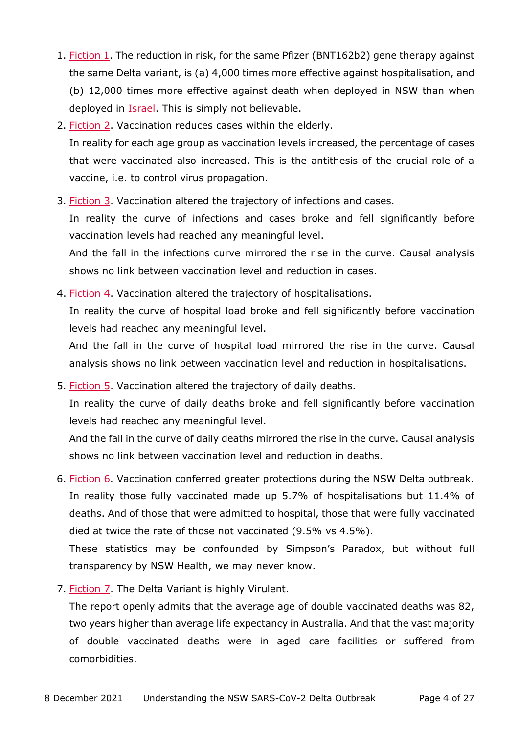- 1. [Fiction 1.](#page-11-1) The reduction in risk, for the same Pfizer (BNT162b2) gene therapy against the same Delta variant, is (a) 4,000 times more effective against hospitalisation, and (b) 12,000 times more effective against death when deployed in NSW than when deployed in **Israel**. This is simply not believable.
- 2. [Fiction 2.](#page-12-0) Vaccination reduces cases within the elderly. In reality for each age group as vaccination levels increased, the percentage of cases that were vaccinated also increased. This is the antithesis of the crucial role of a vaccine, i.e. to control virus propagation.
- 3. [Fiction 3.](#page-13-0) Vaccination altered the trajectory of infections and cases.

In reality the curve of infections and cases broke and fell significantly before vaccination levels had reached any meaningful level.

And the fall in the infections curve mirrored the rise in the curve. Causal analysis shows no link between vaccination level and reduction in cases.

4. [Fiction 4.](#page-14-0) Vaccination altered the trajectory of hospitalisations. In reality the curve of hospital load broke and fell significantly before vaccination levels had reached any meaningful level.

And the fall in the curve of hospital load mirrored the rise in the curve. Causal analysis shows no link between vaccination level and reduction in hospitalisations.

5. [Fiction 5.](#page-15-0) Vaccination altered the trajectory of daily deaths.

In reality the curve of daily deaths broke and fell significantly before vaccination levels had reached any meaningful level.

And the fall in the curve of daily deaths mirrored the rise in the curve. Causal analysis shows no link between vaccination level and reduction in deaths.

6. [Fiction 6.](#page-15-1) Vaccination conferred greater protections during the NSW Delta outbreak. In reality those fully vaccinated made up 5.7% of hospitalisations but 11.4% of deaths. And of those that were admitted to hospital, those that were fully vaccinated died at twice the rate of those not vaccinated (9.5% vs 4.5%).

These statistics may be confounded by Simpson's Paradox, but without full transparency by NSW Health, we may never know.

7. [Fiction 7.](#page-16-0) The Delta Variant is highly Virulent.

The report openly admits that the average age of double vaccinated deaths was 82, two years higher than average life expectancy in Australia. And that the vast majority of double vaccinated deaths were in aged care facilities or suffered from comorbidities.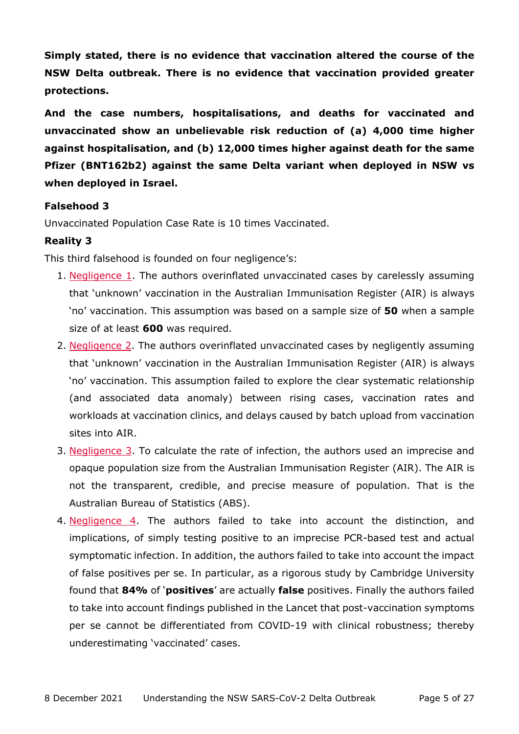**Simply stated, there is no evidence that vaccination altered the course of the NSW Delta outbreak. There is no evidence that vaccination provided greater protections.** 

**And the case numbers, hospitalisations, and deaths for vaccinated and unvaccinated show an unbelievable risk reduction of (a) 4,000 time higher against hospitalisation, and (b) 12,000 times higher against death for the same Pfizer (BNT162b2) against the same Delta variant when deployed in NSW vs when deployed in Israel.** 

### **Falsehood 3**

Unvaccinated Population Case Rate is 10 times Vaccinated.

### **Reality 3**

This third falsehood is founded on four negligence's:

- 1. [Negligence 1.](#page-19-1) The authors overinflated unvaccinated cases by carelessly assuming that 'unknown' vaccination in the Australian Immunisation Register (AIR) is always 'no' vaccination. This assumption was based on a sample size of **50** when a sample size of at least **600** was required.
- 2. [Negligence 2.](#page-20-0) The authors overinflated unvaccinated cases by negligently assuming that 'unknown' vaccination in the Australian Immunisation Register (AIR) is always 'no' vaccination. This assumption failed to explore the clear systematic relationship (and associated data anomaly) between rising cases, vaccination rates and workloads at vaccination clinics, and delays caused by batch upload from vaccination sites into AIR.
- 3. Negligence  $3.$  To calculate the rate of infection, the authors used an imprecise and opaque population size from the Australian Immunisation Register (AIR). The AIR is not the transparent, credible, and precise measure of population. That is the Australian Bureau of Statistics (ABS).
- 4. [Negligence 4.](#page-22-0) The authors failed to take into account the distinction, and implications, of simply testing positive to an imprecise PCR-based test and actual symptomatic infection. In addition, the authors failed to take into account the impact of false positives per se. In particular, as a rigorous study by Cambridge University found that **84%** of '**positives**' are actually **false** positives. Finally the authors failed to take into account findings published in the Lancet that post-vaccination symptoms per se cannot be differentiated from COVID-19 with clinical robustness; thereby underestimating 'vaccinated' cases.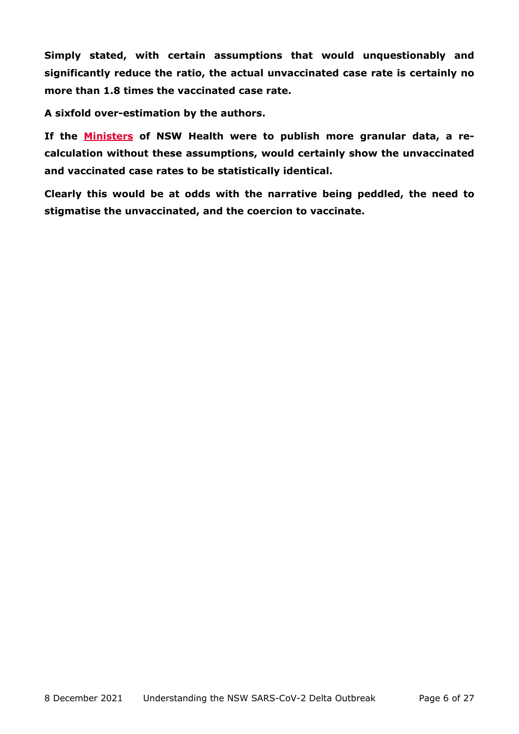**Simply stated, with certain assumptions that would unquestionably and significantly reduce the ratio, the actual unvaccinated case rate is certainly no more than 1.8 times the vaccinated case rate.**

**A sixfold over-estimation by the authors.**

**If the [Ministers](https://www.health.nsw.gov.au/ministers/Pages/default.aspx) of NSW Health were to publish more granular data, a recalculation without these assumptions, would certainly show the unvaccinated and vaccinated case rates to be statistically identical.**

**Clearly this would be at odds with the narrative being peddled, the need to stigmatise the unvaccinated, and the coercion to vaccinate.**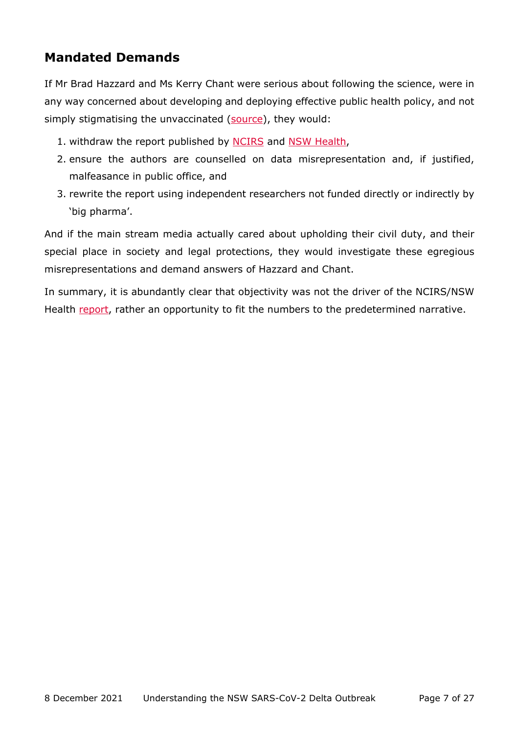# <span id="page-6-0"></span>**Mandated Demands**

If Mr Brad Hazzard and Ms Kerry Chant were serious about following the science, were in any way concerned about developing and deploying effective public health policy, and not simply stigmatising the unvaccinated [\(source\)](https://www.skynews.com.au/australia-news/coronavirus/brad-hazzard-slams-the-selfish-who-wont-get-vaccinated-as-worst-month-of-icu-admissions-approaches/news-story/8789dc084b8308e4fd9ae05e97ff12e5), they would:

- 1. withdraw the report published by [NCIRS](https://www.ncirs.org.au/covid-19-vaccination-highly-effective-during-delta-outbreak-nsw) and [NSW Health,](https://www.health.nsw.gov.au/Infectious/covid-19/Pages/weekly-reports.aspx)
- 2. ensure the authors are counselled on data misrepresentation and, if justified, malfeasance in public office, and
- 3. rewrite the report using independent researchers not funded directly or indirectly by 'big pharma'.

And if the main stream media actually cared about upholding their civil duty, and their special place in society and legal protections, they would investigate these egregious misrepresentations and demand answers of Hazzard and Chant.

In summary, it is abundantly clear that objectivity was not the driver of the NCIRS/NSW Health [report,](https://www.ncirs.org.au/covid-19-vaccination-highly-effective-during-delta-outbreak-nsw) rather an opportunity to fit the numbers to the predetermined narrative.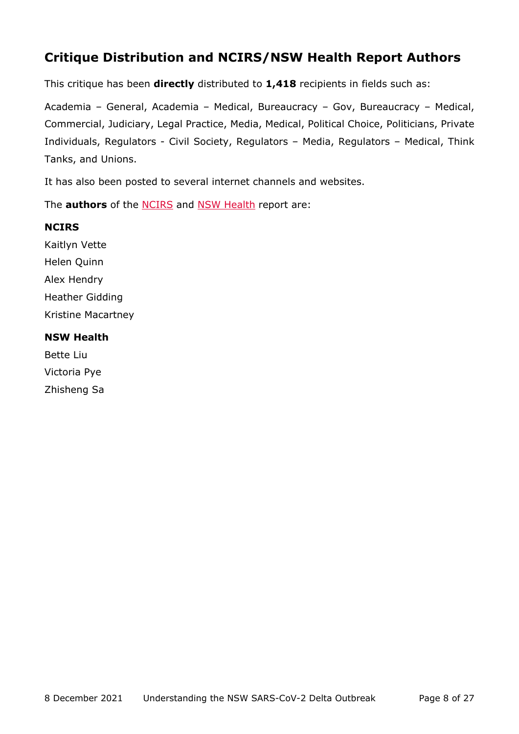# <span id="page-7-0"></span>**Critique Distribution and NCIRS/NSW Health Report Authors**

This critique has been **directly** distributed to **1,418** recipients in fields such as:

Academia – General, Academia – Medical, Bureaucracy – Gov, Bureaucracy – Medical, Commercial, Judiciary, Legal Practice, Media, Medical, Political Choice, Politicians, Private Individuals, Regulators - Civil Society, Regulators – Media, Regulators – Medical, Think Tanks, and Unions.

It has also been posted to several internet channels and websites.

The **authors** of the [NCIRS](https://www.ncirs.org.au/covid-19-vaccination-highly-effective-during-delta-outbreak-nsw) and [NSW Health](https://www.health.nsw.gov.au/Infectious/covid-19/Pages/weekly-reports.aspx) report are:

## **NCIRS**

Kaitlyn Vette Helen Quinn Alex Hendry Heather Gidding Kristine Macartney

## **NSW Health**

Bette Liu Victoria Pye Zhisheng Sa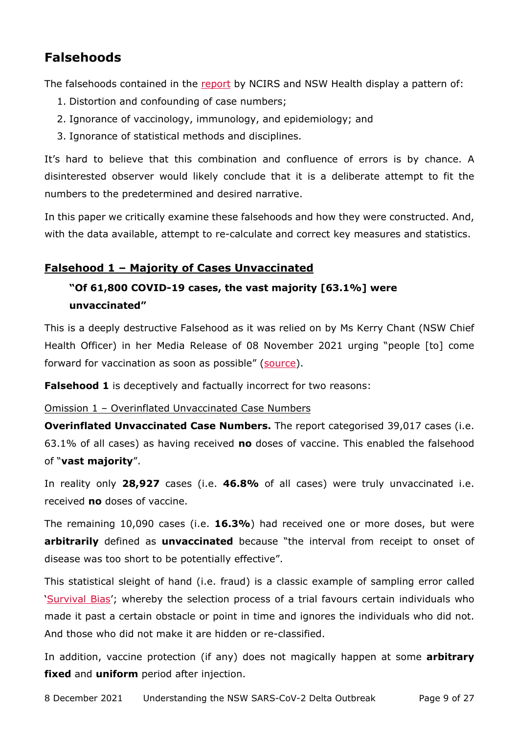## <span id="page-8-0"></span>**Falsehoods**

The falsehoods contained in the [report](https://www.health.nsw.gov.au/Infectious/covid-19/Pages/weekly-reports.aspx) by NCIRS and NSW Health display a pattern of:

- 1. Distortion and confounding of case numbers;
- 2. Ignorance of vaccinology, immunology, and epidemiology; and
- 3. Ignorance of statistical methods and disciplines.

It's hard to believe that this combination and confluence of errors is by chance. A disinterested observer would likely conclude that it is a deliberate attempt to fit the numbers to the predetermined and desired narrative.

In this paper we critically examine these falsehoods and how they were constructed. And, with the data available, attempt to re-calculate and correct key measures and statistics.

## <span id="page-8-1"></span>**Falsehood 1 – Majority of Cases Unvaccinated**

## **"Of 61,800 COVID-19 cases, the vast majority [63.1%] were unvaccinated"**

This is a deeply destructive Falsehood as it was relied on by Ms Kerry Chant (NSW Chief Health Officer) in her Media Release of 08 November 2021 urging "people [to] come forward for vaccination as soon as possible" [\(source\)](https://www.health.nsw.gov.au/news/Pages/20211108_01.aspx).

**Falsehood 1** is deceptively and factually incorrect for two reasons:

#### <span id="page-8-2"></span>Omission 1 – Overinflated Unvaccinated Case Numbers

**Overinflated Unvaccinated Case Numbers.** The report categorised 39,017 cases (i.e. 63.1% of all cases) as having received **no** doses of vaccine. This enabled the falsehood of "**vast majority**".

In reality only **28,927** cases (i.e. **46.8%** of all cases) were truly unvaccinated i.e. received **no** doses of vaccine.

The remaining 10,090 cases (i.e. **16.3%**) had received one or more doses, but were **arbitrarily** defined as **unvaccinated** because "the interval from receipt to onset of disease was too short to be potentially effective".

This statistical sleight of hand (i.e. fraud) is a classic example of sampling error called ['Survival Bias'](https://first10em.com/ebm/survival-bias/); whereby the selection process of a trial favours certain individuals who made it past a certain obstacle or point in time and ignores the individuals who did not. And those who did not make it are hidden or re-classified.

In addition, vaccine protection (if any) does not magically happen at some **arbitrary fixed** and **uniform** period after injection.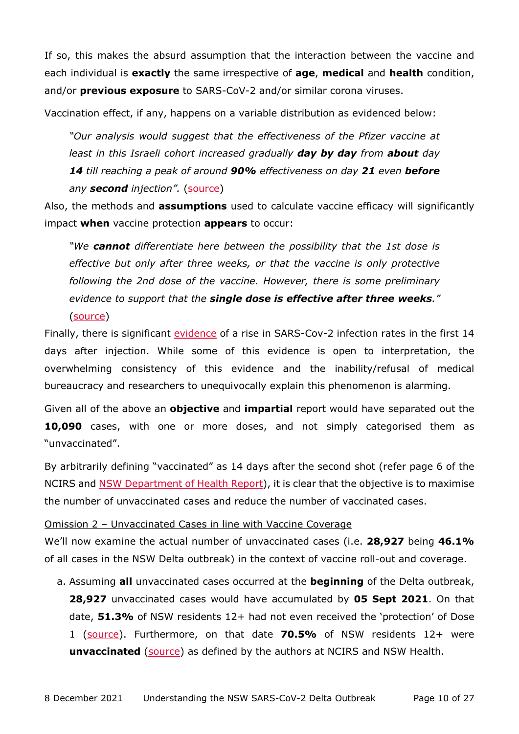If so, this makes the absurd assumption that the interaction between the vaccine and each individual is **exactly** the same irrespective of **age**, **medical** and **health** condition, and/or **previous exposure** to SARS-CoV-2 and/or similar corona viruses.

Vaccination effect, if any, happens on a variable distribution as evidenced below:

*"Our analysis would suggest that the effectiveness of the Pfizer vaccine at least in this Israeli cohort increased gradually day by day from about day 14 till reaching a peak of around 90% effectiveness on day 21 even before any second injection".* [\(source\)](https://www.medrxiv.org/content/10.1101/2021.02.05.21251139v3)

Also, the methods and **assumptions** used to calculate vaccine efficacy will significantly impact **when** vaccine protection **appears** to occur:

*"We cannot differentiate here between the possibility that the 1st dose is effective but only after three weeks, or that the vaccine is only protective following the 2nd dose of the vaccine. However, there is some preliminary evidence to support that the single dose is effective after three weeks."* [\(source\)](https://www.medrxiv.org/content/10.1101/2021.02.05.21251139v3)

Finally, there is significant [evidence](https://www.hartgroup.org/it-gets-worse-before-it-gets-better/) of a rise in SARS-Cov-2 infection rates in the first 14 days after injection. While some of this evidence is open to interpretation, the overwhelming consistency of this evidence and the inability/refusal of medical bureaucracy and researchers to unequivocally explain this phenomenon is alarming.

Given all of the above an **objective** and **impartial** report would have separated out the **10,090** cases, with one or more doses, and not simply categorised them as "unvaccinated".

By arbitrarily defining "vaccinated" as 14 days after the second shot (refer page 6 of the NCIRS and [NSW Department of Health Report\)](https://www.health.nsw.gov.au/Infectious/covid-19/Pages/weekly-reports.aspx), it is clear that the objective is to maximise the number of unvaccinated cases and reduce the number of vaccinated cases.

### <span id="page-9-0"></span>Omission 2 – Unvaccinated Cases in line with Vaccine Coverage

We'll now examine the actual number of unvaccinated cases (i.e. **28,927** being **46.1%**  of all cases in the NSW Delta outbreak) in the context of vaccine roll-out and coverage.

a. Assuming **all** unvaccinated cases occurred at the **beginning** of the Delta outbreak, **28,927** unvaccinated cases would have accumulated by **05 Sept 2021**. On that date, **51.3%** of NSW residents 12+ had not even received the 'protection' of Dose 1 [\(source\)](https://covidlive.com.au/report/daily-vaccinations-first-doses/nsw). Furthermore, on that date **70.5%** of NSW residents 12+ were **unvaccinated** [\(source\)](https://covidlive.com.au/report/daily-vaccinations-people/nsw) as defined by the authors at NCIRS and NSW Health.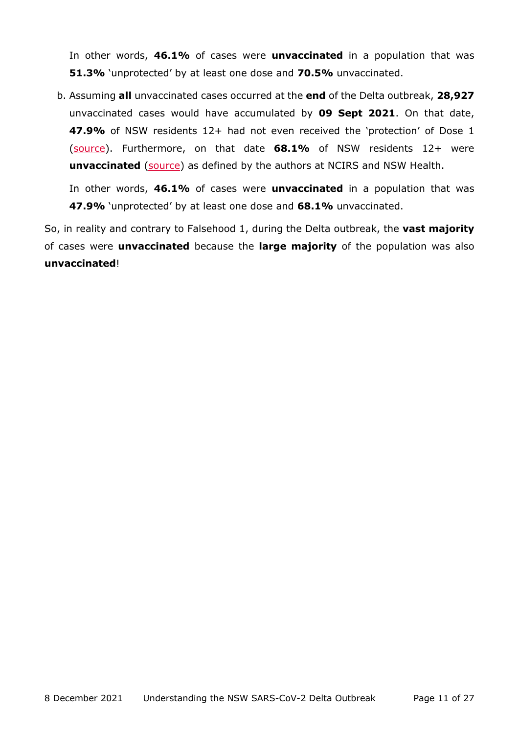In other words, **46.1%** of cases were **unvaccinated** in a population that was **51.3%** 'unprotected' by at least one dose and **70.5%** unvaccinated.

b. Assuming **all** unvaccinated cases occurred at the **end** of the Delta outbreak, **28,927** unvaccinated cases would have accumulated by **09 Sept 2021**. On that date, **47.9%** of NSW residents 12+ had not even received the 'protection' of Dose 1 [\(source\)](https://covidlive.com.au/report/daily-vaccinations-first-doses/nsw). Furthermore, on that date **68.1%** of NSW residents 12+ were **unvaccinated** [\(source\)](https://covidlive.com.au/report/daily-vaccinations-people/nsw) as defined by the authors at NCIRS and NSW Health.

In other words, **46.1%** of cases were **unvaccinated** in a population that was **47.9%** 'unprotected' by at least one dose and **68.1%** unvaccinated.

So, in reality and contrary to Falsehood 1, during the Delta outbreak, the **vast majority** of cases were **unvaccinated** because the **large majority** of the population was also **unvaccinated**!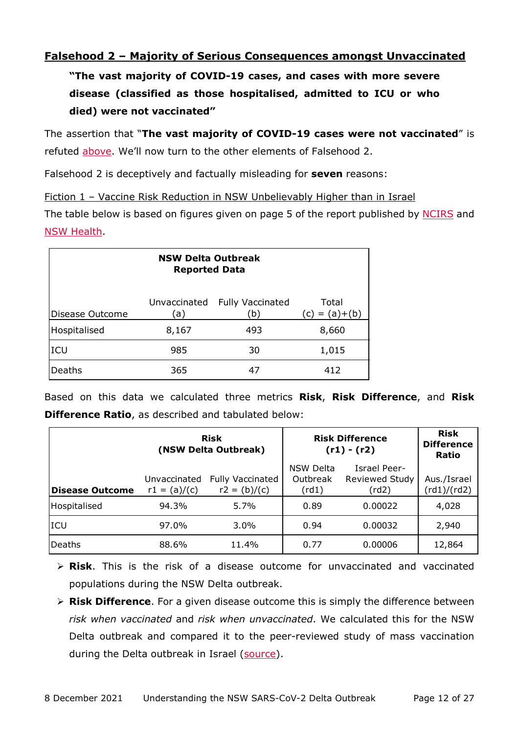## <span id="page-11-0"></span>**Falsehood 2 – Majority of Serious Consequences amongst Unvaccinated**

**"The vast majority of COVID-19 cases, and cases with more severe disease (classified as those hospitalised, admitted to ICU or who died) were not vaccinated"** 

The assertion that "**The vast majority of COVID-19 cases were not vaccinated**" is refuted [above.](#page-8-1) We'll now turn to the other elements of Falsehood 2.

Falsehood 2 is deceptively and factually misleading for **seven** reasons:

<span id="page-11-1"></span>Fiction 1 – Vaccine Risk Reduction in NSW Unbelievably Higher than in Israel

The table below is based on figures given on page 5 of the report published by [NCIRS](https://www.ncirs.org.au/covid-19-vaccination-highly-effective-during-delta-outbreak-nsw) and [NSW Health.](https://www.health.nsw.gov.au/Infectious/covid-19/Pages/weekly-reports.aspx)

| <b>NSW Delta Outbreak</b><br><b>Reported Data</b> |       |                                      |                          |  |
|---------------------------------------------------|-------|--------------------------------------|--------------------------|--|
| Disease Outcome                                   | (a)   | Unvaccinated Fully Vaccinated<br>(b) | Total<br>$(c) = (a)+(b)$ |  |
| Hospitalised                                      | 8,167 | 493                                  | 8,660                    |  |
| ICU                                               | 985   | 30                                   | 1,015                    |  |
| Deaths                                            | 365   | 47                                   | 412                      |  |

Based on this data we calculated three metrics **Risk**, **Risk Difference**, and **Risk Difference Ratio**, as described and tabulated below:

|                        | <b>Risk</b><br>(NSW Delta Outbreak) |                                           | <b>Risk Difference</b><br>$(r1) - (r2)$ |                                                       | <b>Risk</b><br><b>Difference</b><br>Ratio |
|------------------------|-------------------------------------|-------------------------------------------|-----------------------------------------|-------------------------------------------------------|-------------------------------------------|
| <b>Disease Outcome</b> | Unvaccinated<br>$r1 = (a)/(c)$      | <b>Fully Vaccinated</b><br>$r2 = (b)/(c)$ | NSW Delta<br>Outbreak<br>(rd1)          | <b>Israel Peer-</b><br><b>Reviewed Study</b><br>(rd2) | Aus./Israel<br>(rd1)/(rd2)                |
| Hospitalised           | 94.3%                               | 5.7%                                      | 0.89                                    | 0.00022                                               | 4,028                                     |
| ICU                    | 97.0%                               | $3.0\%$                                   | 0.94                                    | 0.00032                                               | 2,940                                     |
| Deaths                 | 88.6%                               | 11.4%                                     | 0.77                                    | 0.00006                                               | 12,864                                    |

 **Risk**. This is the risk of a disease outcome for unvaccinated and vaccinated populations during the NSW Delta outbreak.

 **Risk Difference**. For a given disease outcome this is simply the difference between *risk when vaccinated* and *risk when unvaccinated*. We calculated this for the NSW Delta outbreak and compared it to the peer-reviewed study of mass vaccination during the Delta outbreak in Israel [\(source\)](https://www.nejm.org/doi/full/10.1056/nejmoa2101765).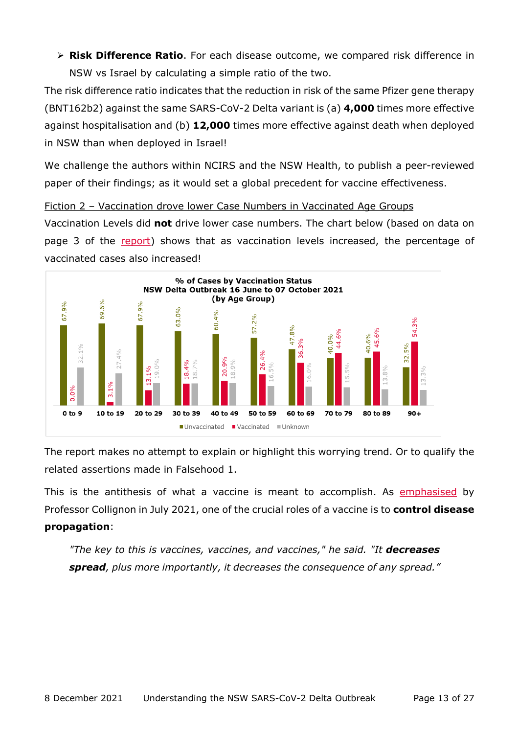**Risk Difference Ratio**. For each disease outcome, we compared risk difference in NSW vs Israel by calculating a simple ratio of the two.

The risk difference ratio indicates that the reduction in risk of the same Pfizer gene therapy (BNT162b2) against the same SARS-CoV-2 Delta variant is (a) **4,000** times more effective against hospitalisation and (b) **12,000** times more effective against death when deployed in NSW than when deployed in Israel!

We challenge the authors within NCIRS and the NSW Health, to publish a peer-reviewed paper of their findings; as it would set a global precedent for vaccine effectiveness.

<span id="page-12-0"></span>Fiction 2 – Vaccination drove lower Case Numbers in Vaccinated Age Groups

Vaccination Levels did **not** drive lower case numbers. The chart below (based on data on page 3 of the [report\)](https://www.health.nsw.gov.au/Infectious/covid-19/Pages/weekly-reports.aspx) shows that as vaccination levels increased, the percentage of vaccinated cases also increased!



The report makes no attempt to explain or highlight this worrying trend. Or to qualify the related assertions made in Falsehood 1.

This is the antithesis of what a vaccine is meant to accomplish. As [emphasised](https://mobile.abc.net.au/news/2021-07-19/australias-last-covid-19-lockdown/100293670) by Professor Collignon in July 2021, one of the crucial roles of a vaccine is to **control disease propagation**:

*"The key to this is vaccines, vaccines, and vaccines," he said. "It decreases spread, plus more importantly, it decreases the consequence of any spread."*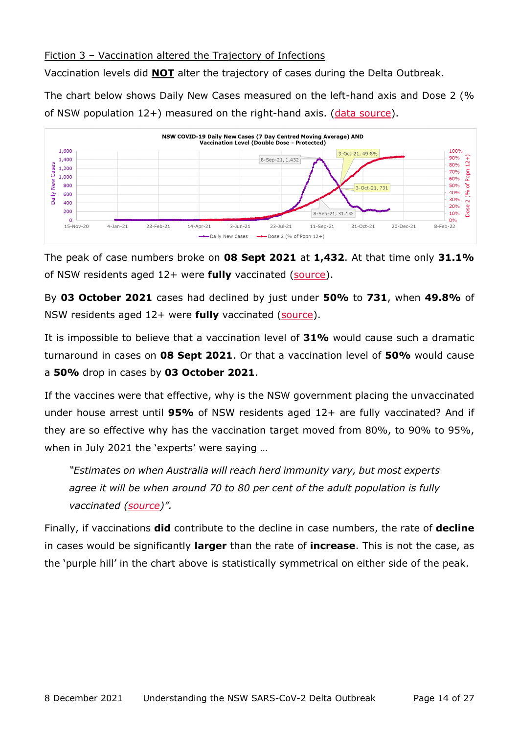## <span id="page-13-0"></span>Fiction 3 – Vaccination altered the Trajectory of Infections

Vaccination levels did **NOT** alter the trajectory of cases during the Delta Outbreak.

The chart below shows Daily New Cases measured on the left-hand axis and Dose 2 (% of NSW population  $12+$ ) measured on the right-hand axis. [\(data source\)](https://covidlive.com.au/).



The peak of case numbers broke on **08 Sept 2021** at **1,432**. At that time only **31.1%** of NSW residents aged 12+ were **fully** vaccinated [\(source\)](https://covidlive.com.au/report/daily-vaccinations-people/nsw).

By **03 October 2021** cases had declined by just under **50%** to **731**, when **49.8%** of NSW residents aged 12+ were **fully** vaccinated [\(source\)](https://covidlive.com.au/report/daily-vaccinations-people/nsw).

It is impossible to believe that a vaccination level of **31%** would cause such a dramatic turnaround in cases on **08 Sept 2021**. Or that a vaccination level of **50%** would cause a **50%** drop in cases by **03 October 2021**.

If the vaccines were that effective, why is the NSW government placing the unvaccinated under house arrest until **95%** of NSW residents aged 12+ are fully vaccinated? And if they are so effective why has the vaccination target moved from 80%, to 90% to 95%, when in July 2021 the 'experts' were saying …

*"Estimates on when Australia will reach herd immunity vary, but most experts agree it will be when around 70 to 80 per cent of the adult population is fully vaccinated [\(source\)](https://mobile.abc.net.au/news/2021-07-19/australias-last-covid-19-lockdown/100293670)".* 

Finally, if vaccinations **did** contribute to the decline in case numbers, the rate of **decline** in cases would be significantly **larger** than the rate of **increase**. This is not the case, as the 'purple hill' in the chart above is statistically symmetrical on either side of the peak.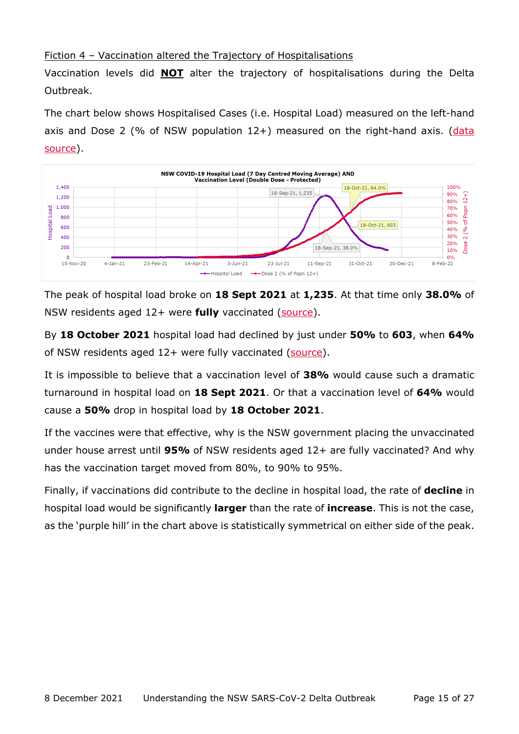## <span id="page-14-0"></span>Fiction 4 – Vaccination altered the Trajectory of Hospitalisations

Vaccination levels did **NOT** alter the trajectory of hospitalisations during the Delta Outbreak.

The chart below shows Hospitalised Cases (i.e. Hospital Load) measured on the left-hand axis and Dose 2 (% of NSW population  $12+$ ) measured on the right-hand axis. (data [source\)](https://covidlive.com.au/).



The peak of hospital load broke on **18 Sept 2021** at **1,235**. At that time only **38.0%** of NSW residents aged 12+ were **fully** vaccinated [\(source\)](https://covidlive.com.au/report/daily-vaccinations-people/nsw).

By **18 October 2021** hospital load had declined by just under **50%** to **603**, when **64%** of NSW residents aged 12+ were fully vaccinated [\(source\)](https://covidlive.com.au/report/daily-vaccinations-people/nsw).

It is impossible to believe that a vaccination level of **38%** would cause such a dramatic turnaround in hospital load on **18 Sept 2021**. Or that a vaccination level of **64%** would cause a **50%** drop in hospital load by **18 October 2021**.

If the vaccines were that effective, why is the NSW government placing the unvaccinated under house arrest until **95%** of NSW residents aged 12+ are fully vaccinated? And why has the vaccination target moved from 80%, to 90% to 95%.

Finally, if vaccinations did contribute to the decline in hospital load, the rate of **decline** in hospital load would be significantly **larger** than the rate of **increase**. This is not the case, as the 'purple hill' in the chart above is statistically symmetrical on either side of the peak.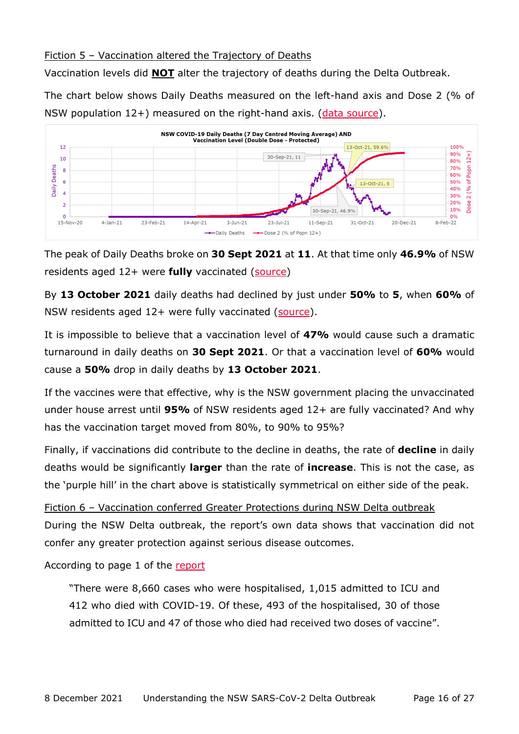## <span id="page-15-0"></span>Fiction 5 – Vaccination altered the Trajectory of Deaths

Vaccination levels did **NOT** alter the trajectory of deaths during the Delta Outbreak.

The chart below shows Daily Deaths measured on the left-hand axis and Dose 2 (% of NSW population  $12+$ ) measured on the right-hand axis. [\(data source\)](https://covidlive.com.au/).



The peak of Daily Deaths broke on **30 Sept 2021** at **11**. At that time only **46.9%** of NSW residents aged 12+ were **fully** vaccinated [\(source\)](https://covidlive.com.au/report/daily-vaccinations-people/nsw)

By **13 October 2021** daily deaths had declined by just under **50%** to **5**, when **60%** of NSW residents aged 12+ were fully vaccinated [\(source\)](https://covidlive.com.au/report/daily-vaccinations-people/nsw).

It is impossible to believe that a vaccination level of **47%** would cause such a dramatic turnaround in daily deaths on **30 Sept 2021**. Or that a vaccination level of **60%** would cause a **50%** drop in daily deaths by **13 October 2021**.

If the vaccines were that effective, why is the NSW government placing the unvaccinated under house arrest until **95%** of NSW residents aged 12+ are fully vaccinated? And why has the vaccination target moved from 80%, to 90% to 95%?

Finally, if vaccinations did contribute to the decline in deaths, the rate of **decline** in daily deaths would be significantly **larger** than the rate of **increase**. This is not the case, as the 'purple hill' in the chart above is statistically symmetrical on either side of the peak.

<span id="page-15-1"></span>Fiction 6 – Vaccination conferred Greater Protections during NSW Delta outbreak During the NSW Delta outbreak, the report's own data shows that vaccination did not confer any greater protection against serious disease outcomes.

According to page 1 of the [report](https://www.health.nsw.gov.au/Infectious/covid-19/Pages/weekly-reports.aspx) 

"There were 8,660 cases who were hospitalised, 1,015 admitted to ICU and 412 who died with COVID-19. Of these, 493 of the hospitalised, 30 of those admitted to ICU and 47 of those who died had received two doses of vaccine".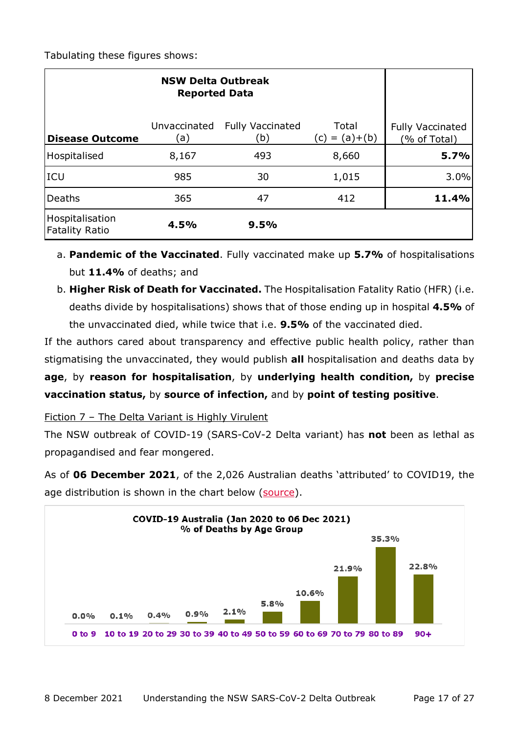| <b>NSW Delta Outbreak</b><br><b>Reported Data</b> |                     |                                |                          |                                         |
|---------------------------------------------------|---------------------|--------------------------------|--------------------------|-----------------------------------------|
| <b>Disease Outcome</b>                            | Unvaccinated<br>(a) | <b>Fully Vaccinated</b><br>(b) | Total<br>$(c) = (a)+(b)$ | <b>Fully Vaccinated</b><br>(% of Total) |
| Hospitalised                                      | 8,167               | 493                            | 8,660                    | 5.7%                                    |
| <b>ICU</b>                                        | 985                 | 30                             | 1,015                    | 3.0%                                    |
| Deaths                                            | 365                 | 47                             | 412                      | 11.4%                                   |
| Hospitalisation<br>Fatality Ratio                 | 4.5%                | 9.5%                           |                          |                                         |

- a. **Pandemic of the Vaccinated**. Fully vaccinated make up **5.7%** of hospitalisations but **11.4%** of deaths; and
- b. **Higher Risk of Death for Vaccinated.** The Hospitalisation Fatality Ratio (HFR) (i.e. deaths divide by hospitalisations) shows that of those ending up in hospital **4.5%** of the unvaccinated died, while twice that i.e. **9.5%** of the vaccinated died.

If the authors cared about transparency and effective public health policy, rather than stigmatising the unvaccinated, they would publish **all** hospitalisation and deaths data by **age**, by **reason for hospitalisation**, by **underlying health condition,** by **precise vaccination status,** by **source of infection,** and by **point of testing positive**.

<span id="page-16-0"></span>Fiction 7 – The Delta Variant is Highly Virulent

The NSW outbreak of COVID-19 (SARS-CoV-2 Delta variant) has **not** been as lethal as propagandised and fear mongered.

As of **06 December 2021**, of the 2,026 Australian deaths 'attributed' to COVID19, the age distribution is shown in the chart below [\(source\)](https://www.health.gov.au/resources/covid-19-deaths-by-age-group-and-sex).

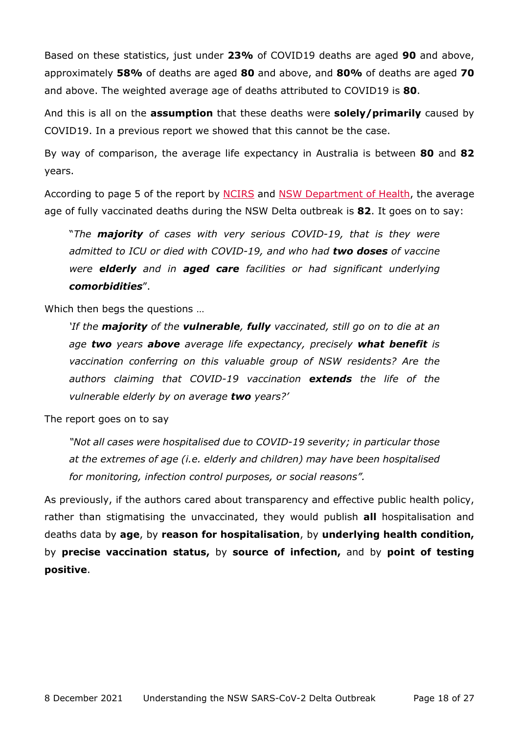Based on these statistics, just under **23%** of COVID19 deaths are aged **90** and above, approximately **58%** of deaths are aged **80** and above, and **80%** of deaths are aged **70** and above. The weighted average age of deaths attributed to COVID19 is **80**.

And this is all on the **assumption** that these deaths were **solely/primarily** caused by COVID19. In a previous report we showed that this cannot be the case.

By way of comparison, the average life expectancy in Australia is between **80** and **82** years.

According to page 5 of the report by [NCIRS](https://www.ncirs.org.au/covid-19-vaccination-highly-effective-during-delta-outbreak-nsw) and [NSW Department of Health,](https://www.health.nsw.gov.au/Infectious/covid-19/Pages/weekly-reports.aspx) the average age of fully vaccinated deaths during the NSW Delta outbreak is **82**. It goes on to say:

"*The majority of cases with very serious COVID-19, that is they were admitted to ICU or died with COVID-19, and who had two doses of vaccine were elderly and in aged care facilities or had significant underlying comorbidities*".

Which then begs the questions …

*'If the majority of the vulnerable, fully vaccinated, still go on to die at an age two years above average life expectancy, precisely what benefit is vaccination conferring on this valuable group of NSW residents? Are the authors claiming that COVID-19 vaccination extends the life of the vulnerable elderly by on average two years?'* 

The report goes on to say

*"Not all cases were hospitalised due to COVID-19 severity; in particular those at the extremes of age (i.e. elderly and children) may have been hospitalised for monitoring, infection control purposes, or social reasons".* 

As previously, if the authors cared about transparency and effective public health policy, rather than stigmatising the unvaccinated, they would publish **all** hospitalisation and deaths data by **age**, by **reason for hospitalisation**, by **underlying health condition,**  by **precise vaccination status,** by **source of infection,** and by **point of testing positive**.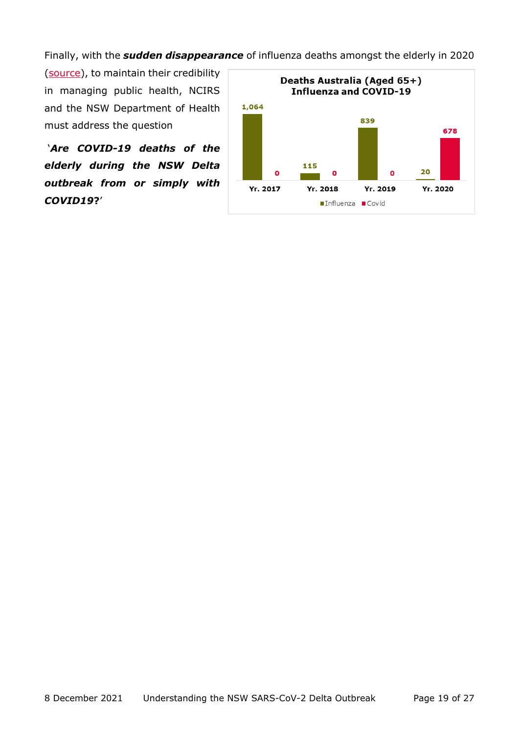Finally, with the *sudden disappearance* of influenza deaths amongst the elderly in 2020

[\(source\)](https://www.health.gov.au/resources/publications/covid-19-outbreaks-in-australian-residential-aged-care-facilities-26-february-2021), to maintain their credibility in managing public health, NCIRS and the NSW Department of Health must address the question

 '*Are COVID-19 deaths of the elderly during the NSW Delta outbreak from or simply with COVID19***?**'

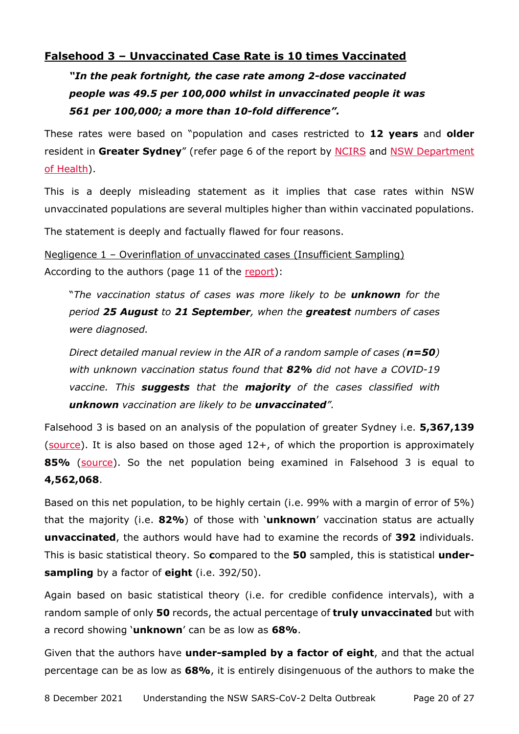## <span id="page-19-0"></span>**Falsehood 3 – Unvaccinated Case Rate is 10 times Vaccinated**

*"In the peak fortnight, the case rate among 2-dose vaccinated people was 49.5 per 100,000 whilst in unvaccinated people it was 561 per 100,000; a more than 10-fold difference".*

These rates were based on "population and cases restricted to **12 years** and **older** resident in **Greater Sydney**" (refer page 6 of the report by [NCIRS](https://www.ncirs.org.au/covid-19-vaccination-highly-effective-during-delta-outbreak-nsw) and [NSW Department](https://www.health.nsw.gov.au/Infectious/covid-19/Pages/weekly-reports.aspx)  [of Health\)](https://www.health.nsw.gov.au/Infectious/covid-19/Pages/weekly-reports.aspx).

This is a deeply misleading statement as it implies that case rates within NSW unvaccinated populations are several multiples higher than within vaccinated populations.

The statement is deeply and factually flawed for four reasons.

<span id="page-19-1"></span>Negligence 1 – Overinflation of unvaccinated cases (Insufficient Sampling) According to the authors (page 11 of the [report\)](https://www.health.nsw.gov.au/Infectious/covid-19/Pages/weekly-reports.aspx):

"*The vaccination status of cases was more likely to be unknown for the period 25 August to 21 September, when the greatest numbers of cases were diagnosed.* 

*Direct detailed manual review in the AIR of a random sample of cases (n=50) with unknown vaccination status found that 82% did not have a COVID-19 vaccine. This suggests that the majority of the cases classified with unknown vaccination are likely to be unvaccinated".* 

Falsehood 3 is based on an analysis of the population of greater Sydney i.e. **5,367,139**  $(source)$ . It is also based on those aged  $12+$ , of which the proportion is approximately **85%** [\(source\)](https://www.abs.gov.au/statistics/people/population/national-state-and-territory-population/latest-release). So the net population being examined in Falsehood 3 is equal to **4,562,068**.

Based on this net population, to be highly certain (i.e. 99% with a margin of error of 5%) that the majority (i.e. **82%**) of those with '**unknown**' vaccination status are actually **unvaccinated**, the authors would have had to examine the records of **392** individuals. This is basic statistical theory. So **c**ompared to the **50** sampled, this is statistical **undersampling** by a factor of **eight** (i.e. 392/50).

Again based on basic statistical theory (i.e. for credible confidence intervals), with a random sample of only **50** records, the actual percentage of **truly unvaccinated** but with a record showing '**unknown**' can be as low as **68%**.

Given that the authors have **under-sampled by a factor of eight**, and that the actual percentage can be as low as **68%**, it is entirely disingenuous of the authors to make the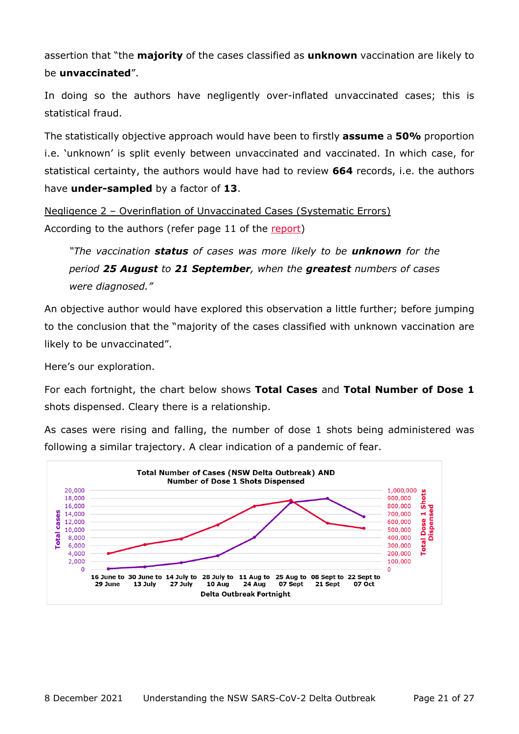assertion that "the **majority** of the cases classified as **unknown** vaccination are likely to be **unvaccinated**".

In doing so the authors have negligently over-inflated unvaccinated cases; this is statistical fraud.

The statistically objective approach would have been to firstly **assume** a **50%** proportion i.e. 'unknown' is split evenly between unvaccinated and vaccinated. In which case, for statistical certainty, the authors would have had to review **664** records, i.e. the authors have **under-sampled** by a factor of **13**.

<span id="page-20-0"></span>Negligence 2 – Overinflation of Unvaccinated Cases (Systematic Errors) According to the authors (refer page 11 of the [report\)](https://www.health.nsw.gov.au/Infectious/covid-19/Pages/weekly-reports.aspx)

*"The vaccination status of cases was more likely to be unknown for the period 25 August to 21 September, when the greatest numbers of cases were diagnosed."*

An objective author would have explored this observation a little further; before jumping to the conclusion that the "majority of the cases classified with unknown vaccination are likely to be unvaccinated".

Here's our exploration.

For each fortnight, the chart below shows **Total Cases** and **Total Number of Dose 1** shots dispensed. Cleary there is a relationship.

As cases were rising and falling, the number of dose 1 shots being administered was following a similar trajectory. A clear indication of a pandemic of fear.

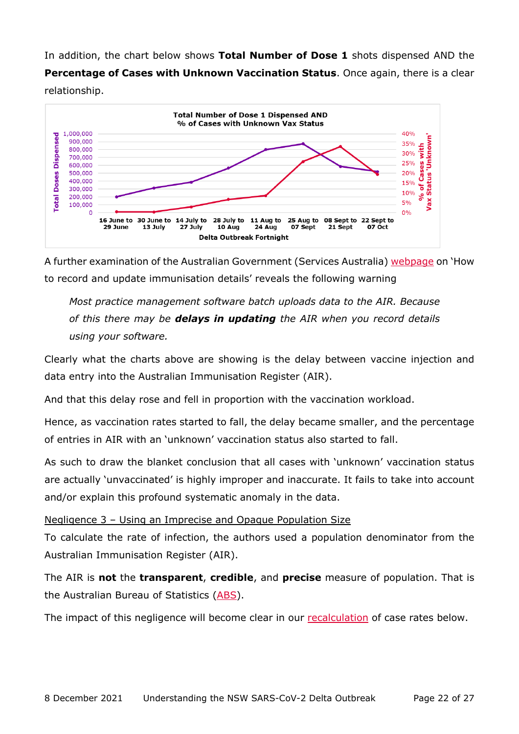In addition, the chart below shows **Total Number of Dose 1** shots dispensed AND the **Percentage of Cases with Unknown Vaccination Status**. Once again, there is a clear relationship.



A further examination of the Australian Government (Services Australia) [webpage](https://www.servicesaustralia.gov.au/organisations/health-professionals/services/medicare/australian-immunisation-register-health-professionals/how-record-and-update-immunisation-details) on 'How to record and update immunisation details' reveals the following warning

*Most practice management software batch uploads data to the AIR. Because of this there may be delays in updating the AIR when you record details using your software.*

Clearly what the charts above are showing is the delay between vaccine injection and data entry into the Australian Immunisation Register (AIR).

And that this delay rose and fell in proportion with the vaccination workload.

Hence, as vaccination rates started to fall, the delay became smaller, and the percentage of entries in AIR with an 'unknown' vaccination status also started to fall.

As such to draw the blanket conclusion that all cases with 'unknown' vaccination status are actually 'unvaccinated' is highly improper and inaccurate. It fails to take into account and/or explain this profound systematic anomaly in the data.

### <span id="page-21-0"></span>Negligence 3 – Using an Imprecise and Opaque Population Size

To calculate the rate of infection, the authors used a population denominator from the Australian Immunisation Register (AIR).

The AIR is **not** the **transparent**, **credible**, and **precise** measure of population. That is the Australian Bureau of Statistics [\(ABS\)](https://www.abs.gov.au/statistics/people/population).

The impact of this negligence will become clear in our [recalculation](#page-23-0) of case rates below.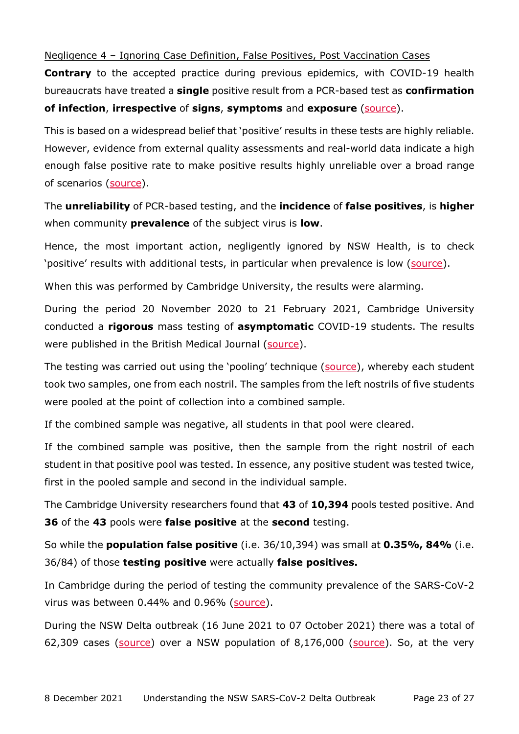### <span id="page-22-0"></span>Negligence 4 – Ignoring Case Definition, False Positives, Post Vaccination Cases

**Contrary** to the accepted practice during previous epidemics, with COVID-19 health bureaucrats have treated a **single** positive result from a PCR-based test as **confirmation of infection**, **irrespective** of **signs**, **symptoms** and **exposure** [\(source\)](https://www.medrxiv.org/content/10.1101/2020.04.26.20080911v4).

This is based on a widespread belief that 'positive' results in these tests are highly reliable. However, evidence from external quality assessments and real-world data indicate a high enough false positive rate to make positive results highly unreliable over a broad range of scenarios [\(source\)](https://www.medrxiv.org/content/10.1101/2020.04.26.20080911v4).

The **unreliability** of PCR-based testing, and the **incidence** of **false positives**, is **higher** when community **prevalence** of the subject virus is **low**.

Hence, the most important action, negligently ignored by NSW Health, is to check 'positive' results with additional tests, in particular when prevalence is low [\(source\)](https://www.medrxiv.org/content/10.1101/2020.04.26.20080911v4).

When this was performed by Cambridge University, the results were alarming.

During the period 20 November 2020 to 21 February 2021, Cambridge University conducted a **rigorous** mass testing of **asymptomatic** COVID-19 students. The results were published in the British Medical Journal [\(source\)](https://www.bmj.com/content/375/bmj.n2388).

The testing was carried out using the 'pooling' technique [\(source\)](https://journals.plos.org/plosone/article?id=10.1371/journal.pone.0246544), whereby each student took two samples, one from each nostril. The samples from the left nostrils of five students were pooled at the point of collection into a combined sample.

If the combined sample was negative, all students in that pool were cleared.

If the combined sample was positive, then the sample from the right nostril of each student in that positive pool was tested. In essence, any positive student was tested twice, first in the pooled sample and second in the individual sample.

The Cambridge University researchers found that **43** of **10,394** pools tested positive. And **36** of the **43** pools were **false positive** at the **second** testing.

So while the **population false positive** (i.e. 36/10,394) was small at **0.35%, 84%** (i.e. 36/84) of those **testing positive** were actually **false positives.** 

In Cambridge during the period of testing the community prevalence of the SARS-CoV-2 virus was between 0.44% and 0.96% [\(source\)](https://www.ons.gov.uk/peoplepopulationandcommunity/healthandsocialcare/conditionsanddiseases/bulletins/coronaviruscovid19infectionsurveypilot/latest).

During the NSW Delta outbreak (16 June 2021 to 07 October 2021) there was a total of 62,309 cases [\(source\)](https://covidlive.com.au/) over a NSW population of 8,176,000 [\(source\)](https://www.abs.gov.au/statistics/people/population/national-state-and-territory-population/mar-2021). So, at the very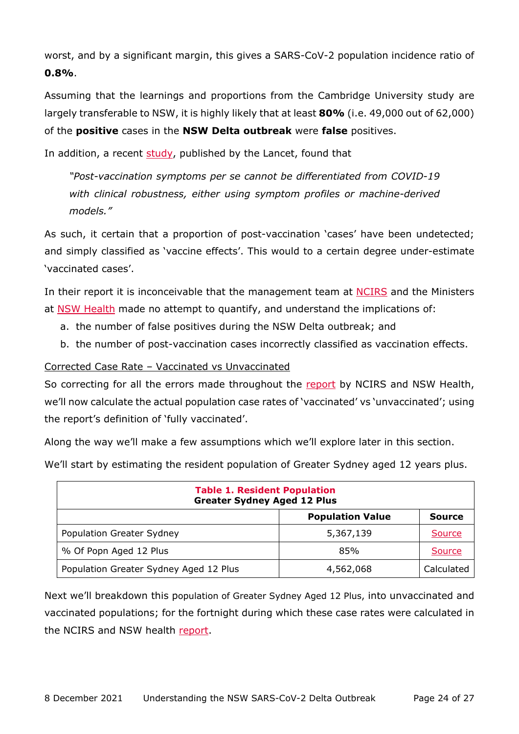worst, and by a significant margin, this gives a SARS-CoV-2 population incidence ratio of **0.8%**.

Assuming that the learnings and proportions from the Cambridge University study are largely transferable to NSW, it is highly likely that at least **80%** (i.e. 49,000 out of 62,000) of the **positive** cases in the **NSW Delta outbreak** were **false** positives.

In addition, a recent [study,](https://www.thelancet.com/journals/eclinm/article/PIIS2589-5370(21)00493-4/fulltext) published by the Lancet, found that

*"Post-vaccination symptoms per se cannot be differentiated from COVID-19 with clinical robustness, either using symptom profiles or machine-derived models."* 

As such, it certain that a proportion of post-vaccination 'cases' have been undetected; and simply classified as 'vaccine effects'. This would to a certain degree under-estimate 'vaccinated cases'.

In their report it is inconceivable that the management team at [NCIRS](https://www.ncirs.org.au/our-people/executive-management-team) and the Ministers at [NSW Health](https://www.health.nsw.gov.au/ministers/Pages/default.aspx) made no attempt to quantify, and understand the implications of:

- a. the number of false positives during the NSW Delta outbreak; and
- b. the number of post-vaccination cases incorrectly classified as vaccination effects.

<span id="page-23-0"></span>Corrected Case Rate – Vaccinated vs Unvaccinated

So correcting for all the errors made throughout the [report](https://www.health.nsw.gov.au/Infectious/covid-19/Pages/weekly-reports.aspx) by NCIRS and NSW Health, we'll now calculate the actual population case rates of 'vaccinated' vs 'unvaccinated'; using the report's definition of 'fully vaccinated'.

Along the way we'll make a few assumptions which we'll explore later in this section.

We'll start by estimating the resident population of Greater Sydney aged 12 years plus.

| <b>Table 1. Resident Population</b><br><b>Greater Sydney Aged 12 Plus</b> |           |               |  |  |
|---------------------------------------------------------------------------|-----------|---------------|--|--|
| <b>Population Value</b><br><b>Source</b>                                  |           |               |  |  |
| <b>Population Greater Sydney</b>                                          | 5,367,139 | Source        |  |  |
| % Of Popn Aged 12 Plus                                                    | 85%       | <b>Source</b> |  |  |
| Population Greater Sydney Aged 12 Plus<br>Calculated<br>4,562,068         |           |               |  |  |

Next we'll breakdown this population of Greater Sydney Aged 12 Plus, into unvaccinated and vaccinated populations; for the fortnight during which these case rates were calculated in the NCIRS and NSW health [report.](https://www.health.nsw.gov.au/Infectious/covid-19/Pages/weekly-reports.aspx)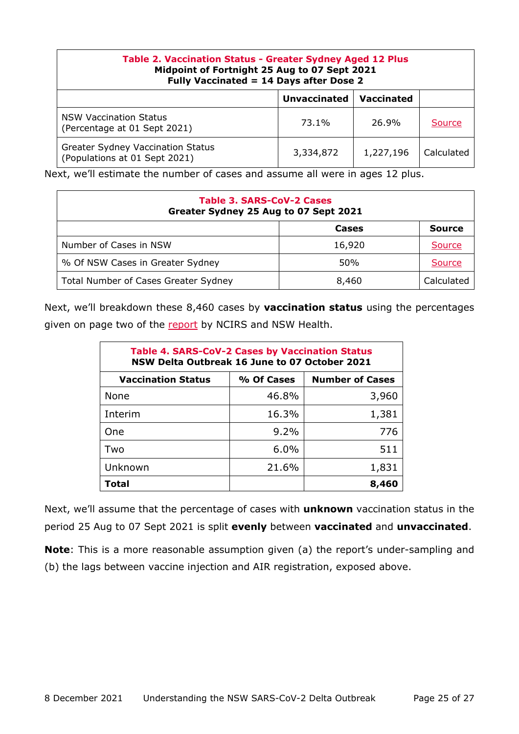| <b>Table 2. Vaccination Status - Greater Sydney Aged 12 Plus</b><br>Midpoint of Fortnight 25 Aug to 07 Sept 2021<br>Fully Vaccinated = 14 Days after Dose 2 |           |           |            |  |
|-------------------------------------------------------------------------------------------------------------------------------------------------------------|-----------|-----------|------------|--|
| <b>Unvaccinated</b><br><b>Vaccinated</b>                                                                                                                    |           |           |            |  |
| <b>NSW Vaccination Status</b><br>(Percentage at 01 Sept 2021)                                                                                               | 73.1%     | 26.9%     | Source     |  |
| <b>Greater Sydney Vaccination Status</b><br>(Populations at 01 Sept 2021)                                                                                   | 3,334,872 | 1,227,196 | Calculated |  |

Next, we'll estimate the number of cases and assume all were in ages 12 plus.

| Table 3. SARS-CoV-2 Cases<br>Greater Sydney 25 Aug to 07 Sept 2021 |        |               |  |  |
|--------------------------------------------------------------------|--------|---------------|--|--|
|                                                                    | Cases  | <b>Source</b> |  |  |
| Number of Cases in NSW                                             | 16,920 | Source        |  |  |
| % Of NSW Cases in Greater Sydney                                   | 50%    | Source        |  |  |
| Total Number of Cases Greater Sydney                               | 8,460  | Calculated    |  |  |

Next, we'll breakdown these 8,460 cases by **vaccination status** using the percentages given on page two of the [report](https://www.health.nsw.gov.au/Infectious/covid-19/Pages/weekly-reports.aspx) by NCIRS and NSW Health.

| <b>Table 4. SARS-CoV-2 Cases by Vaccination Status</b><br>NSW Delta Outbreak 16 June to 07 October 2021 |            |                        |  |  |
|---------------------------------------------------------------------------------------------------------|------------|------------------------|--|--|
| <b>Vaccination Status</b>                                                                               | % Of Cases | <b>Number of Cases</b> |  |  |
| None                                                                                                    | 46.8%      | 3,960                  |  |  |
| Interim                                                                                                 | 16.3%      | 1,381                  |  |  |
| One                                                                                                     | $9.2\%$    | 776                    |  |  |
| Two                                                                                                     | 6.0%       | 511                    |  |  |
| Unknown                                                                                                 | 21.6%      | 1,831                  |  |  |
| <b>Total</b>                                                                                            |            | 8,460                  |  |  |

Next, we'll assume that the percentage of cases with **unknown** vaccination status in the period 25 Aug to 07 Sept 2021 is split **evenly** between **vaccinated** and **unvaccinated**.

**Note**: This is a more reasonable assumption given (a) the report's under-sampling and (b) the lags between vaccine injection and AIR registration, exposed above.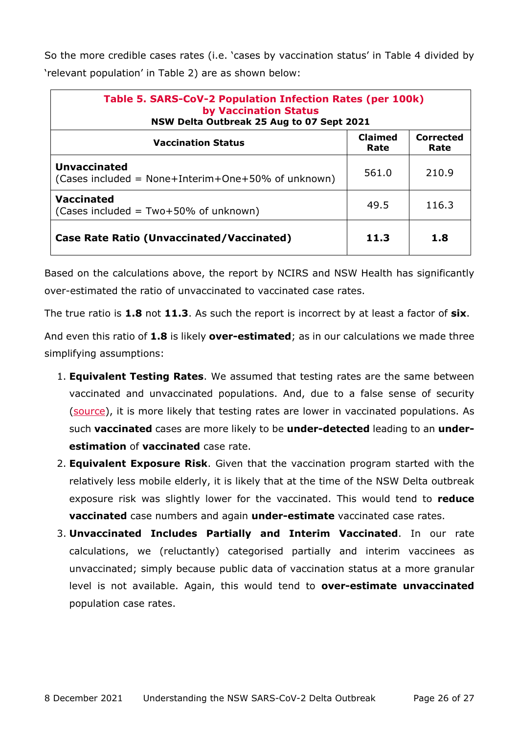So the more credible cases rates (i.e. 'cases by vaccination status' in Table 4 divided by 'relevant population' in Table 2) are as shown below:

| Table 5. SARS-CoV-2 Population Infection Rates (per 100k)<br><b>by Vaccination Status</b><br>NSW Delta Outbreak 25 Aug to 07 Sept 2021 |       |       |  |
|----------------------------------------------------------------------------------------------------------------------------------------|-------|-------|--|
| <b>Claimed</b><br><b>Corrected</b><br><b>Vaccination Status</b><br>Rate<br>Rate                                                        |       |       |  |
| <b>Unvaccinated</b><br>(Cases included = None+Interim+One+50% of unknown)                                                              | 561.0 | 210.9 |  |
| Vaccinated<br>(Cases included = $Two+50\%$ of unknown)                                                                                 | 49.5  | 116.3 |  |
| <b>Case Rate Ratio (Unvaccinated/Vaccinated)</b>                                                                                       | 11.3  | 1.8   |  |

Based on the calculations above, the report by NCIRS and NSW Health has significantly over-estimated the ratio of unvaccinated to vaccinated case rates.

The true ratio is **1.8** not **11.3**. As such the report is incorrect by at least a factor of **six**.

And even this ratio of **1.8** is likely **over-estimated**; as in our calculations we made three simplifying assumptions:

- 1. **Equivalent Testing Rates**. We assumed that testing rates are the same between vaccinated and unvaccinated populations. And, due to a false sense of security [\(source\)](https://www.reuters.com/world/europe/false-sense-security-around-vaccines-europe-again-covid-epicentre-who-2021-11-24/), it is more likely that testing rates are lower in vaccinated populations. As such **vaccinated** cases are more likely to be **under-detected** leading to an **underestimation** of **vaccinated** case rate.
- 2. **Equivalent Exposure Risk**. Given that the vaccination program started with the relatively less mobile elderly, it is likely that at the time of the NSW Delta outbreak exposure risk was slightly lower for the vaccinated. This would tend to **reduce vaccinated** case numbers and again **under-estimate** vaccinated case rates.
- 3. **Unvaccinated Includes Partially and Interim Vaccinated**. In our rate calculations, we (reluctantly) categorised partially and interim vaccinees as unvaccinated; simply because public data of vaccination status at a more granular level is not available. Again, this would tend to **over-estimate unvaccinated** population case rates.